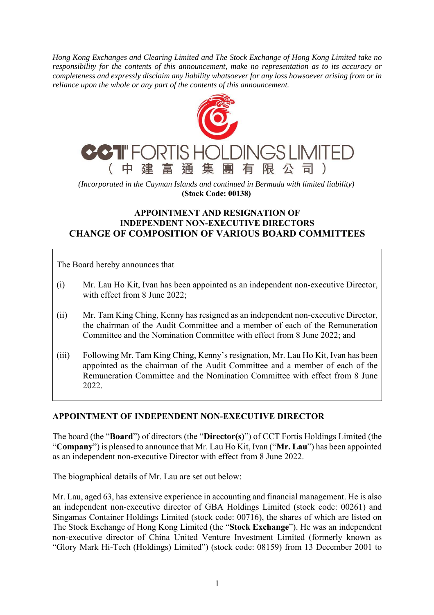*Hong Kong Exchanges and Clearing Limited and The Stock Exchange of Hong Kong Limited take no responsibility for the contents of this announcement, make no representation as to its accuracy or completeness and expressly disclaim any liability whatsoever for any loss howsoever arising from or in reliance upon the whole or any part of the contents of this announcement.* 



*(Incorporated in the Cayman Islands and continued in Bermuda with limited liability)*  **(Stock Code: 00138)** 

## **APPOINTMENT AND RESIGNATION OF INDEPENDENT NON-EXECUTIVE DIRECTORS CHANGE OF COMPOSITION OF VARIOUS BOARD COMMITTEES**

The Board hereby announces that

- (i) Mr. Lau Ho Kit, Ivan has been appointed as an independent non-executive Director, with effect from 8 June 2022;
- (ii) Mr. Tam King Ching, Kenny has resigned as an independent non-executive Director, the chairman of the Audit Committee and a member of each of the Remuneration Committee and the Nomination Committee with effect from 8 June 2022; and
- (iii) Following Mr. Tam King Ching, Kenny's resignation, Mr. Lau Ho Kit, Ivan has been appointed as the chairman of the Audit Committee and a member of each of the Remuneration Committee and the Nomination Committee with effect from 8 June 2022.

## **APPOINTMENT OF INDEPENDENT NON-EXECUTIVE DIRECTOR**

The board (the "**Board**") of directors (the "**Director(s)**") of CCT Fortis Holdings Limited (the "**Company**") is pleased to announce that Mr. Lau Ho Kit, Ivan ("**Mr. Lau**") has been appointed as an independent non-executive Director with effect from 8 June 2022.

The biographical details of Mr. Lau are set out below:

Mr. Lau, aged 63, has extensive experience in accounting and financial management. He is also an independent non-executive director of GBA Holdings Limited (stock code: 00261) and Singamas Container Holdings Limited (stock code: 00716), the shares of which are listed on The Stock Exchange of Hong Kong Limited (the "**Stock Exchange**"). He was an independent non-executive director of China United Venture Investment Limited (formerly known as "Glory Mark Hi-Tech (Holdings) Limited") (stock code: 08159) from 13 December 2001 to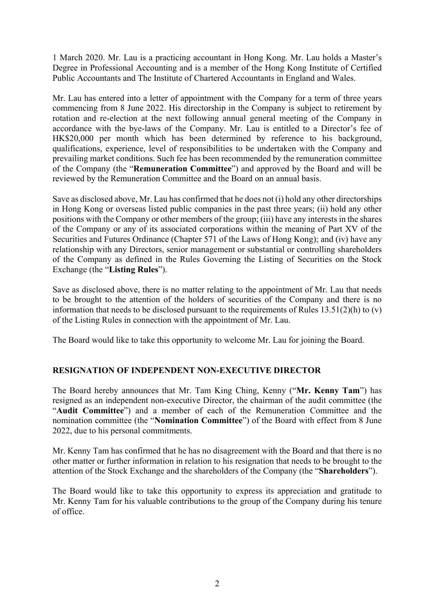1 March 2020. Mr. Lau is a practicing accountant in Hong Kong. Mr. Lau holds a Master's Degree in Professional Accounting and is a member of the Hong Kong Institute of Certified Public Accountants and The Institute of Chartered Accountants in England and Wales.

Mr. Lau has entered into a letter of appointment with the Company for a term of three years commencing from 8 June 2022. His directorship in the Company is subject to retirement by rotation and re-election at the next following annual general meeting of the Company in accordance with the bye-laws of the Company. Mr. Lau is entitled to a Director's fee of HK\$20,000 per month which has been determined by reference to his background, qualifications, experience, level of responsibilities to be undertaken with the Company and prevailing market conditions. Such fee has been recommended by the remuneration committee of the Company (the "**Remuneration Committee**") and approved by the Board and will be reviewed by the Remuneration Committee and the Board on an annual basis.

Save as disclosed above, Mr. Lau has confirmed that he does not (i) hold any other directorships in Hong Kong or overseas listed public companies in the past three years; (ii) hold any other positions with the Company or other members of the group; (iii) have any interests in the shares of the Company or any of its associated corporations within the meaning of Part XV of the Securities and Futures Ordinance (Chapter 571 of the Laws of Hong Kong); and (iv) have any relationship with any Directors, senior management or substantial or controlling shareholders of the Company as defined in the Rules Governing the Listing of Securities on the Stock Exchange (the "**Listing Rules**").

Save as disclosed above, there is no matter relating to the appointment of Mr. Lau that needs to be brought to the attention of the holders of securities of the Company and there is no information that needs to be disclosed pursuant to the requirements of Rules 13.51(2)(h) to (v) of the Listing Rules in connection with the appointment of Mr. Lau.

The Board would like to take this opportunity to welcome Mr. Lau for joining the Board.

## **RESIGNATION OF INDEPENDENT NON-EXECUTIVE DIRECTOR**

The Board hereby announces that Mr. Tam King Ching, Kenny ("**Mr. Kenny Tam**") has resigned as an independent non-executive Director, the chairman of the audit committee (the "**Audit Committee**") and a member of each of the Remuneration Committee and the nomination committee (the "**Nomination Committee**") of the Board with effect from 8 June 2022, due to his personal commitments.

Mr. Kenny Tam has confirmed that he has no disagreement with the Board and that there is no other matter or further information in relation to his resignation that needs to be brought to the attention of the Stock Exchange and the shareholders of the Company (the "**Shareholders**").

The Board would like to take this opportunity to express its appreciation and gratitude to Mr. Kenny Tam for his valuable contributions to the group of the Company during his tenure of office.